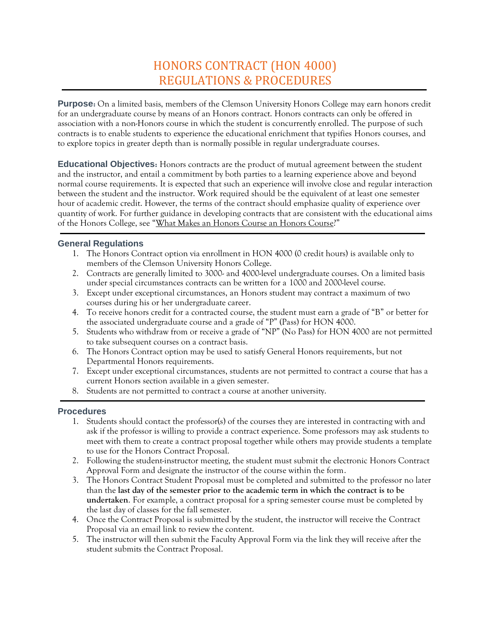## HONORS CONTRACT (HON 4000) REGULATIONS & PROCEDURES

**Purpose:** On a limited basis, members of the Clemson University Honors College may earn honors credit for an undergraduate course by means of an Honors contract. Honors contracts can only be offered in association with a non-Honors course in which the student is concurrently enrolled. The purpose of such contracts is to enable students to experience the educational enrichment that typifies Honors courses, and to explore topics in greater depth than is normally possible in regular undergraduate courses.

**Educational Objectives:** Honors contracts are the product of mutual agreement between the student and the instructor, and entail a commitment by both parties to a learning experience above and beyond normal course requirements. It is expected that such an experience will involve close and regular interaction between the student and the instructor. Work required should be the equivalent of at least one semester hour of academic credit. However, the terms of the contract should emphasize quality of experience over quantity of work. For further guidance in developing contracts that are consistent with the educational aims of the Honors College, see "[What Makes an Honors Course an Honors Course](https://www.clemson.edu/cuhonors/documents/what-makes-it-honors.pdf)?"

## **General Regulations**

- 1. The Honors Contract option via enrollment in HON 4000 (0 credit hours) is available only to members of the Clemson University Honors College.
- 2. Contracts are generally limited to 3000- and 4000-level undergraduate courses. On a limited basis under special circumstances contracts can be written for a 1000 and 2000-level course.
- 3. Except under exceptional circumstances, an Honors student may contract a maximum of two courses during his or her undergraduate career.
- 4. To receive honors credit for a contracted course, the student must earn a grade of "B" or better for the associated undergraduate course and a grade of "P" (Pass) for HON 4000.
- 5. Students who withdraw from or receive a grade of "NP" (No Pass) for HON 4000 are not permitted to take subsequent courses on a contract basis.
- 6. The Honors Contract option may be used to satisfy General Honors requirements, but not Departmental Honors requirements.
- 7. Except under exceptional circumstances, students are not permitted to contract a course that has a current Honors section available in a given semester.
- 8. Students are not permitted to contract a course at another university.

## **Procedures**

- 1. Students should contact the professor(s) of the courses they are interested in contracting with and ask if the professor is willing to provide a contract experience. Some professors may ask students to meet with them to create a contract proposal together while others may provide students a template to use for the Honors Contract Proposal.
- 2. Following the student-instructor meeting, the student must submit the electronic Honors Contract Approval Form and designate the instructor of the course within the form.
- 3. The Honors Contract Student Proposal must be completed and submitted to the professor no later than the **last day of the semester prior to the academic term in which the contract is to be undertaken**. For example, a contract proposal for a spring semester course must be completed by the last day of classes for the fall semester.
- 4. Once the Contract Proposal is submitted by the student, the instructor will receive the Contract Proposal via an email link to review the content.
- 5. The instructor will then submit the Faculty Approval Form via the link they will receive after the student submits the Contract Proposal.